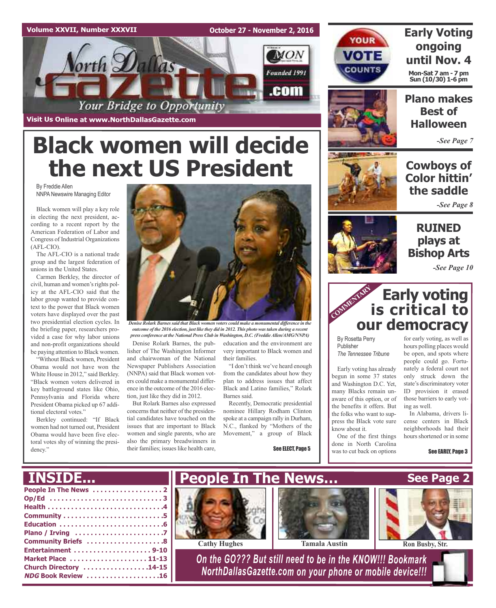#### **Volume XXVII, Number XXXVII**

**October 27 - November 2, 2016**



**Visit Us Online at www.NorthDallasGazette.com**

# **Black women will decide the next US President**

By Freddie Allen NNPA Newswire Managing Editor

Black women will play a key role in electing the next president, according to a recent report by the American Federation of Labor and Congress of Industrial Organizations (AFL-CIO).

The AFL-CIO is a national trade group and the largest federation of unions in the United States.

Carmen Berkley, the director of civil, human and women's rights policy at the AFL-CIO said that the labor group wanted to provide context to the power that Black women voters have displayed over the past two presidential election cycles. In the briefing paper, researchers provided a case for why labor unions and non-profit organizations should be paying attention to Black women.

"Without Black women, President Obama would not have won the White House in 2012," said Berkley. "Black women voters delivered in key battleground states like Ohio, Pennsylvania and Florida where President Obama picked up 67 additional electoral votes."

Berkley continued: "If Black women had not turned out, President Obama would have been five electoral votes shy of winning the presidency."



*outcome of the 2016 election, just like they did in 2012. This photo wastaken during a recent press conference at the National Press Club in Washington, D.C. (FreddieAllen/AMG/NNPA)*

Denise Rolark Barnes, the publisher of The Washington Informer and chairwoman of the National Newspaper Publishers Association (NNPA) said that Black women voters could make a monumental difference in the outcome of the 2016 election, just like they did in 2012.

But Rolark Barnes also expressed concerns that neither of the presidential candidates have touched on the issues that are important to Black women and single parents, who are also the primary breadwinners in their families; issues like health care, education and the environment are very important to Black women and their families.

"I don't think we've heard enough from the candidates about how they plan to address issues that affect Black and Latino families," Rolark Barnes said.

Recently, Democratic presidential nominee Hillary Rodham Clinton spoke at a campaign rally in Durham, N.C., flanked by "Mothers of the Movement," a group of Black

See ELECT, Page 5



YOUR

VOTE

**COUNTS** 

### **Early Voting ongoing until Nov. 4 Mon-Sat 7 am - 7 pm Sun (10/30) 1-6 pm**



*-See Page 7*

### **Cowboys of Color hittin' the saddle**

*-See Page 8*

### **RUINED plays at Bishop Arts**

*-See Page 10*

### **Early voting is critical to our democracy** COMMENTARY RES

By Rosetta Perry Publisher *The Tennessee Tribune*

know about it.

One of the first things done in North Carolina was to cut back on options

Early voting has already begun in some 37 states and Washington D.C. Yet, many Blacks remain unaware of this option, or of the benefits it offers. But the folks who want to suppress the Black vote sure hours polling places would be open, and spots where people could go. Fortunately a federal court not only struck down the state's discriminatory voter ID provision it erased those barriers to early voting as well.

In Alabama, drivers license centers in Black neighborhoods had their hours shortened or in some

for early voting, as well as

See EARLY, Page 3

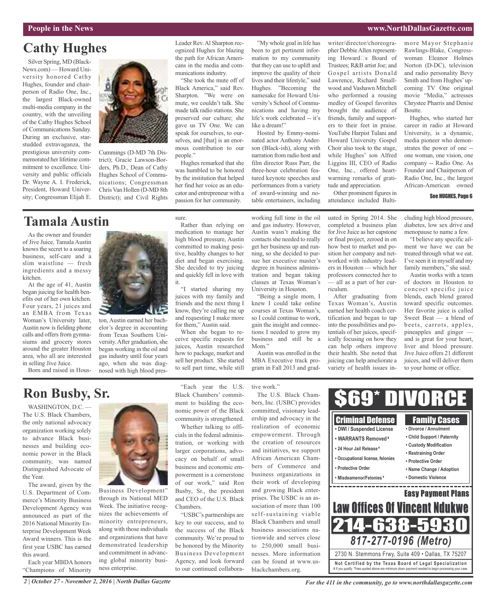#### **People in the News www.NorthDallasGazette.com**

### **Cathy Hughes**

Silver Spring, MD (Black-News.com) — Howard University honored Cathy Hughes, founder and chairperson of Radio One, Inc., the largest Black-owned multi-media company in the country, with the unveiling of the Cathy Hughes School of Communications Sunday. During an exclusive, starstudded extravaganza, the prestigious university commemorated her lifetime commitment to excellence. University and public officials Dr. Wayne A. I. Frederick, President, Howard University; Congressman Elijah E.



Cummings (D-MD 7th District); Gracie Lawson-Borders, Ph.D., Dean of Cathy Hughes School of Communications; Congressman Chris Van Hollen (D-MD 8th District); and Civil Rights

### **Tamala Austin**

As the owner and founder of Jive Juice, Tamala Austin knowsthe secret to a soaring business, self-care and a slim waistline — fresh ingredients and a messy kitchen.

At the age of 41, Austin began juicing for health benefits out of her own kitchen. Four years, 21 juices and an EMBA from Texas Woman's University later, Austin now is fielding phone calls and offers from gymnasiums and grocery stores around the greater Houston area, who all are interested in selling Jive Juice.

Born and raised in Hous-



ton, Austin earned her bachelor's degree in accounting from Texas Southern University. After graduation, she began working in the oil and gas industry until four years ago, when she was diagnosed with high blood pres-

sure. Rather than relying on medication to manage her high blood pressure, Austin committed to making positive, healthy changes to her cator and entrepreneur with a passion for her community.

Hughes remarked that she was humbled to be honored by the institution that helped her find her voice as an edu-

people."

Leader Rev.Al Sharpton recognized Hughes for blazing the path for African Americans in the media and communications industry.

"She took the mute off of Black America," said Rev. Sharpton. "We were on mute, we couldn't talk. She made talk radio stations. She preserved our culture; she gave us TV One. We can speak for ourselves, to ourselves, and [that] is an enormous contribution to our

diet and began exercising. She decided to try juicing and quickly fell in love with it. "I started sharing my juices with my family and friends and the next thing I know, they're calling me up and requesting I make more for them," Austin said.

When she began to receive specific requests for juices, Austin researched how to package, market and sell her product. She started to sell part time, while still

"My whole goal in life has been to get pertinent information to my community that they can use to uplift and improve the quality of their lives and their lifestyle," said Hughes. "Becoming the namesake for Howard University's School of Communications and having my life's work celebrated -- it's like a dream!"

Hosted by Emmy-nominated actor Anthony Anderson (Black-ish), along with narration from radio host and film director Russ Parr, the three-hour celebration featured keynote speeches and performances from a variety of award-winning and notable entertainers, including

knew I could take online courses at Texas Woman's, so I could continue to work, gain the insight and connections I needed to grow my business and still be a

Austin was enrolled in the MBA Executive track program in Fall 2013 and gradwriter/director/choreographer DebbieAllen representing Howard<sup>S</sup>s Board of Trustees; R&B artist Joe; and Gospel artists Donald Lawrence, Richard Smallwood and Vashawn Mitchell who performed a rousing medley of Gospel favorites brought the audience of friends, family and supporters to their feet in praise. YouTube Harpist Tulani and Howard University Gospel Choir also took to the stage, while Hughes' son Alfred Liggins III, CEO of Radio One, Inc., offered heartwarming remarks of grati-

Other prominent figures in attendance included Balti-

tude and appreciation.

more Mayor Stephanie Rawlings-Blake, Congresswoman Eleanor Holmes Norton (D-DC), television and radio personality Bevy Smith and from Hughes' upcoming TV One original movie "Media," actresses Chrystee Pharris and Denise Boutte.

Hughes, who started her career in radio at Howard University, is a dynamic, media pioneer who demonstrates the power of one - one woman, one vision, one company -- Radio One. As Founder and Chairperson of Radio One, Inc., the largest African-American owned

#### See HUGHES, Page 6

cluding high blood pressure, diabetes, low sex drive and menopause to name a few.

"I believe any specific ailment we have we can be treated through what we eat. I've seen it in myself and my family members," she said.

Austin works with a team of doctors in Houston to concoct specific juice blends, each blend geared toward specific outcomes. Her favorite juice is called Sweet Beat — a blend of beets, carrots, apples, pineapples and ginger and is great for your heart, liver and blood pressure. Jive Juice offers 21 different juices, and will deliver them to your home or office.

### **Ron Busby, Sr.**

WASHINGTON, D.C. -The U.S. Black Chambers, the only national advocacy organization working solely to advance Black businesses and building economic power in the Black community, was named Distinguished Advocate of the Year.

The award, given by the U.S. Department of Commerce's Minority Business Development Agency was announced as part of the 2016 National Minority Enterprise Development Week Award winners. This is the first year USBC has earned this award.

Each year MBDA honors "Champions of Minority



through its National MED Week. The initiative recognizes the achievements of minority entrepreneurs, along with those individuals and organizations that have demonstrated leadership and commitment in advancing global minority business enterprise.

"Each year the U.S. Black Chambers' commitment to building the economic power of the Black community is strengthened.

Whether talking to officials in the federal administration, or working with larger corporations, advocacy on behalf of small business and economic empowerment is a cornerstone of our work," said Ron Busby, Sr., the president and CEO of the U.S. Black Chambers.

"USBC's partnerships are key to our success, and to the success of the Black community. We're proud to be honored by the Minority Business Development Agency, and look forward to our continued collabora-

tive work."

Mom."

bers, Inc. (USBC) provides committed, visionary leadership and advocacy in the realization of economic empowerment. Through the creation of resources and initiatives, we support African American Chambers of Commerce and business organizations in their work of developing and growing Black enterprises. The USBC is an association of more than 100 self-sustaining viable Black Chambers and small business associations nationwide and serves close to 250,000 small businesses. More information can be found at www.usblackchambers.org.



*2 | October 27 - November 2, 2016 | North Dallas Gazette*

*For the 411 in the community, go to www.northdallasgazette.com*

working full time in the oil and gas industry. However, Austin wasn't making the contacts she needed to really get her business up and running, so she decided to pursue her executive master's degree in business administration and began taking classes at Texas Woman's University in Houston. "Being a single mom, I uated in Spring 2014. She completed a business plan for Jive Juice as her capstone or final project, zeroed in on how best to market and position her company and networked with industry leaders in Houston — which her professors connected her to — all as a part of her curriculum.

After graduating from Texas Woman's, Austin earned her health coach certification and began to tap into the possibilities and potentials of her juices, specifically focusing on how they can help others improve their health. She noted that juicing can help ameliorate a variety of health issues in-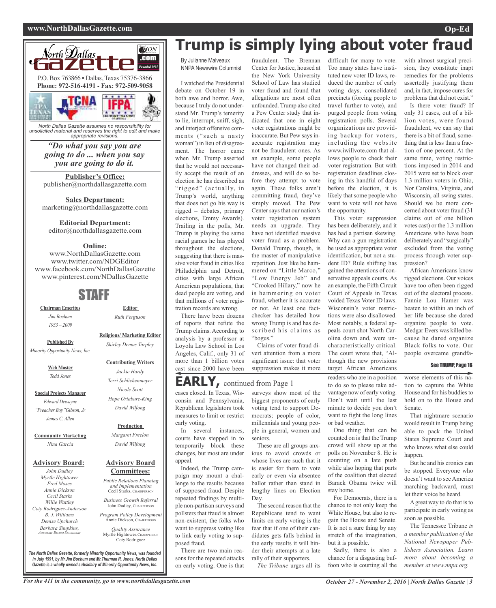#### **www.NorthDallasGazette.com Op-Ed**



*unsolicited material and reserves the right to edit and make appropriate revisions.*

> *"Do what you say you are going to do ... when you say you are going to do it.*

**Publisher's Office:** publisher@northdallasgazette.com

**Sales Department:** marketing@northdallasgazette.com

#### **Editorial Department:**

editor@northdallasgazette.com

### **Online:**

www.NorthDallasGazette.com www.twitter.com/NDGEditor www.facebook.com/NorthDallasGazette www.pinterest.com/NDallasGazette

### STAFF

**Chairman Emeritus** *Jim Bochum 1933 – 2009*

**Published By** *Minority Opportunity News, Inc.*

> **Web Master** *Todd Jones*

**Special Projects Manager** *Edward Dewayne "Preacher Boy"Gibson, Jr. James C. Allen*

**Community Marketing** *Nina Garcia*

### **Advisory Board:**

*John Dudley Myrtle Hightower Fred Moses Annie Dickson Cecil Starks Willie Wattley Coty Rodriguez-Anderson B. J. Williams Denise Upchurch Barbara Simpkins, ADVISORY BOARD SECRETARY*

### *Jackie Hardy Terri Schlichenmeyer Nicole Scott Hope Oriabure-King David Wilfong*

**Editor** *Ruth Ferguson*

**Religious/ Marketing Editor** *Shirley Demus Tarpley*

**Contributing Writers**

**Production**

*Margaret Freelon David Wilfong*

#### **Advisory Board Committees:**

*Public Relations Planning and Implementation* Cecil Starks, CHAIRPERSON

*Business Growth Referral* John Dudley, CHAIRPERSO

*Program Policy Development* Annie Dickson, CHAIRPEI

*Quality Assurance* Myrtle Hightower, CHAIRPERSON Coty Rodriguez

**Trump is simply lying about voter fraud**

By Julianne Malveaux NNPA Newswire Columnist

I watched the Presidential debate on October 19 in both awe and horror. Awe, because I truly do not understand Mr. Trump's temerity to lie, interrupt, sniff, sigh, and interject offensive comments ("such a nasty woman") in lieu of disagreement. The horror came when Mr. Trump asserted that he would not necessarily accept the result of an election he has described as "rigged" (actually, in Trump's world, anything that does not go his way is rigged – debates, primary elections, Emmy Awards). Trailing in the polls, Mr. Trump is playing the same racial games he has played throughout the elections, suggesting that there is massive voter fraud in cities like Philadelphia and Detroit, cities with large African American populations, that dead people are voting, and that millions of voter registration records are wrong.

There have been dozens of reports that refute the Trump claims. According to analysis by a professor at Loyola Law School in Los Angeles, Calif., only 31 of more than 1 billion votes cast since 2000 have been

fraudulent. The Brennan Center for Justice, housed at the New York University School of Law has studied voter fraud and found that allegations are most often unfounded. Trump also cited a Pew Center study that indicated that one in eight voter registrations might be inaccurate. But Pew says inaccurate registration may not be fraudulent ones. As an example, some people have not changed their addresses, and will do so before they attempt to vote again. These folks aren't committing fraud, they've simply moved. The Pew Center says that our nation's voter registration system needs an upgrade. They have not identified massive voter fraud as a problem. Donald Trump, though, is the master of manipulative repetition. Just like he hammered on "Little Marco," "Low Energy Jeb" and "Crooked Hillary," now he is hammering on voter fraud, whether it is accurate or not. At least one factchecker has detailed how wrong Trump is and has described his claims as

Claims of voter fraud divert attention from a more significant issue: that voter suppression makes it more

### **EARLY,** continued from Page <sup>1</sup>

"bogus."

cases closed. In Texas, Wisconsin and Pennsylvania, Republican legislators took measures to limit or restrict In several instances,

courts have stepped in to temporarily block these changes, but most are under Indeed, the Trump camseniors.

paign may mount a challenge to the results because of supposed fraud. Despite repeated findings by multiple non-partisan surveys and pollsters that fraud is almost non-existent, the folks who want to suppress voting like to link early voting to supposed fraud.

There are two main reasons for the repeated attacks on early voting. One is that

surveys show most of the biggest proponents of early voting tend to support Democrats; people of color, millennials and young people in general, women and

These are all groups anxious to avoid crowds or whose lives are such that it is easier for them to vote early or even via absentee ballot rather than stand in lengthy lines on Election Day.

The second reason that the Republicans tend to want limits on early voting is the fear that if one of their candidates gets falls behind in the early results it will hinder their attempts at a late rally of their supporters.

*The Tribune* urges all its

difficult for many to vote. Too many states have instituted new voter ID laws, reduced the number of early voting days, consolidated precincts (forcing people to travel further to vote), and purged people from voting registration polls. Several organizations are providing backup for voters, including the website www.iwillvote.com that allows people to check their voter registration. But with registration deadlines closing in this handful of days before the election, it is likely that some people who want to vote will not have the opportunity.

This voter suppression has been deliberately, and it has had a partisan skewing. Why can a gun registration be used as appropriate voter identification, but not a student ID? Rule shifting has gained the attentions of conservative appeals courts. As an example, the Fifth Circuit Court of Appeals in Texas voided Texas Voter ID laws. Wisconsin's voter restrictions were also disallowed. Most notably, a federal appeals court shot North Carolina down and, were uncharacteristically critical. The court wrote that, "Although the new provisions target African Americans

readers who are in a position to do so to please take advantage now of early voting. Don't wait until the last minute to decide you don't want to fight the long lines or bad weather.

One thing that can be counted on is that the Trump crowd will show up at the polls on November 8. He is counting on a late push while also hoping that parts of the coalition that elected Barack Obama twice will stay home.

For Democrats, there is a chance to not only keep the White House, but also to regain the House and Senate. It is not a sure thing by any stretch of the imagination, but it is possible.

Sadly, there is also a chance for a disgusting buffoon who is courting all the

with almost surgical precision, they constitute inapt remedies for the problems assertedly justifying them and, in fact, impose cures for problems that did not exist."

Is there voter fraud? If only 31 cases, out of a billion votes, were found fraudulent, we can say that there is a bit of fraud, something that is less than a fraction of one percent. At the same time, voting restrictions imposed in 2014 and 2015 were set to block over 1.3 million voters in Ohio, Nor Carolina, Virginia, and Wisconsin, all swing states. Should we be more concerned about voter fraud (31 claims out of one billion votes cast) or the 1.3 million Americans who have been deliberately and "surgically" excluded from the voting process through voter suppression?

African Americans know rigged elections. Our voices have too often been rigged out of the electoral process. Fannie Lou Hamer was beaten to within an inch of her life because she dared organize people to vote. Medgar Evers was killed because he dared organize Black folks to vote. Our people overcame grandfa-

### See TRUMP, Page 16

worse elements of this nation to capture the White House and for his buddies to hold on to the House and Senate.

That nightmare scenario would result in Trump being able to pack the United States Supreme Court and who knows what else could happen.

But he and his cronies can be stopped. Everyone who doesn't want to see America marching backward, must let their voice be heard.

A great way to do that is to participate in early voting as soon as possible.

The Tennessee Tribune *is a member publication of the National Newspaper Publishers Association. Learn more about becoming a member at www.nnpa.org.*

*The North Dallas Gazette, formerly Minority Opportunity News, was founded in July 1991, by Mr.Jim Bochum and Mr.Thurman R. Jones. North Dallas Gazette is a wholly owned subsidairy of Minority Opportunity News, Inc.*

early voting.

appeal.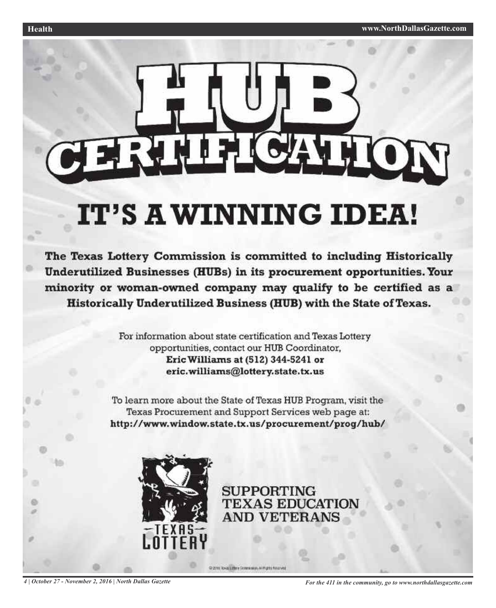

# IT'S A WINNING IDEA!

The Texas Lottery Commission is committed to including Historically Underutilized Businesses (HUBs) in its procurement opportunities. Your minority or woman-owned company may qualify to be certified as a Historically Underutilized Business (HUB) with the State of Texas.

> For information about state certification and Texas Lottery opportunities, contact our HUB Coordinator, Eric Williams at (512) 344-5241 or eric.williams@lottery.state.tx.us

To learn more about the State of Texas HUB Program, visit the Texas Procurement and Support Services web page at: http://www.window.state.tx.us/procurement/prog/hub/



**SUPPORTING TEXAS EDUCATION AND VETERANS** 

C 2011 Real Littler Screwards Arthurs financial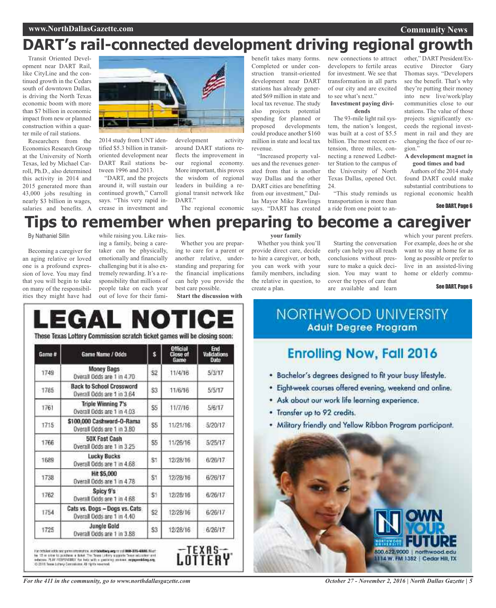#### **Community News**

## **DART's rail-connected development driving regional growth**

Transit Oriented Development near DART Rail, like CityLine and the continued growth in the Cedars south of downtown Dallas, is driving the North Texas economic boom with more than \$7 billion in economic impact from new or planned construction within a quarter mile of rail stations.

Researchers from the Economics Research Group at the University of North Texas, led by Michael Carroll, Ph.D., also determined this activity in 2014 and 2015 generated more than 43,000 jobs resulting in nearly \$3 billion in wages, salaries and benefits. A



2014 study from UNT identified \$5.3 billion in transitoriented development near DART Rail stations between 1996 and 2013.

"DART, and the projects around it, will sustain our continued growth," Carroll says. "This very rapid increase in investment and development activity around DART stations reflects the improvement in our regional economy. More important, this proves the wisdom of regional leaders in building a regional transit network like DART."

The regional economic

benefit takes many forms. Completed or under construction transit-oriented development near DART stations has already generated \$69 million in state and local tax revenue. The study also projects potential spending for planned or<br>proposed developments developments could produce another \$160 million in state and local tax revenue.

"Increased property values and the revenues generated from that is another way Dallas and the other DART cities are benefitting from our investment," Dallas Mayor Mike Rawlings says. "DART has created

**your family** Whether you think you'll provide direct care, decide to hire a caregiver, or both, you can work with your family members, including the relative in question, to

create a plan.

new connections to attract developers to fertile areas for investment. We see that transformation in all parts of our city and are excited to see what's next."

#### **Investment paying dividends**

The 93-mile light rail system, the nation's longest, was built at a cost of \$5.5 billion. The most recent extension, three miles, connecting a renewed Ledbetter Station to the campus of the University of North Texas Dallas, opened Oct. 24.

"This study reminds us transportation is more than a ride from one point to an-

Starting the conversation early can help you all reach conclusions without pressure to make a quick decision. You may want to cover the types of care that are available and learn

other," DART President/Executive Director Gary Thomas says. "Developers see the benefit. That's why they're putting their money into new live/work/play communities close to our stations. The value of those projects significantly exceeds the regional investment in rail and they are changing the face of our region."

#### **A development magnet in good times and bad**

Authors of the 2014 study found DART could make substantial contributions to regional economic health

which your parent prefers. For example, does he or she want to stay at home for as long as possible or prefer to live in an assisted-living home or elderly commu-

#### See DART, Page 6

See DART, Page 6

### **Tips to remember when preparing to become a caregiver**

#### By Nathaniel Sillin

Becoming a caregiver for an aging relative or loved one is a profound expression of love. You may find that you will begin to take on many of the responsibilities they might have had

while raising you. Like raising a family, being a caretaker can be physically, emotionally and financially challenging but it is also extremely rewarding. It's a responsibility that millions of people take on each year out of love for their fami-

lies. Whether you are preparing to care for a parent or another relative, understanding and preparing for the financial implications can help you provide the

**Start the discussion with**

best care possible.

#### These Texas Lottery Commission scratch ticket games will be closing soon: Game # Game Name / Odds s Close of **Date** Money Bags **Law T**  $1.11111$ L. and the firm

| 11431 | Overall Odds are 1 in 4.70                                    | 52             | 11/9/10  | avartr     |
|-------|---------------------------------------------------------------|----------------|----------|------------|
| 1785  | <b>Back to School Crossword</b><br>Overall Odds are 1 in 3.64 | S3             | 11/6/16  | 5/5/17     |
| 1761  | Triple Winning 7's<br>Overall Odds are 1 in 4.03              | S <sub>5</sub> | 11/7/16  | 5/6/17     |
| 1715  | \$100,000 Cashword-O-Rama<br>Overall Odds are 1 in 3.80       | S5             | 11/21/16 | $-5/20/17$ |
| 1766  | <b>50X Fast Cash</b><br>Overall Odds are 1 in 3.25            | \$5            | 11/26/16 | 5/25/17    |
| 1689  | Lucky Bucks<br>Overall Odds are 1 in 4.68                     | St             | 12/28/16 | 6/26/17    |
| 1738  | Hit \$5,000<br>Overall Odds are 1 in 478                      | S1             | 12/28/16 | 6/26/17    |
| 1762  | Spicy 9's<br>Overall Odds are 1 in 4.68                       | S1             | 12/28/16 | 6/26/17    |
| 1754  | Cats vs. Dogs - Dogs vs. Cats.<br>Overall Odds are 1 in 4.40  | \$2            | 12/28/16 | 6/26/17    |
| 1725  | <b>Jungle Gold</b><br>Overall Odds are 1 in 3.88              | S3             | 12/28/16 | 6/26/17    |

For collider adds and parts interestings, itself biodivey angers and 1000-270-43000. Must be 20 or added and a material of the Test Test Test and and and and and and other and other and other and other and collider and co

NORTHWOOD UNIVERSITY **Adult Degree Program** 

### **Enrolling Now, Fall 2016**

- . Bachelor's degrees designed to fit your busy lifestyle.
- · Eight-week courses offered evening, weekend and online.
- \* Ask about our work life learning experience.
- . Transfer up to 92 credits.
- · Military friendly and Yellow Ribbon Program participant.



*October 27 - November 2, 2016 | North Dallas Gazette | 5*

*For the 411 in the community, go to www.northdallasgazette.com*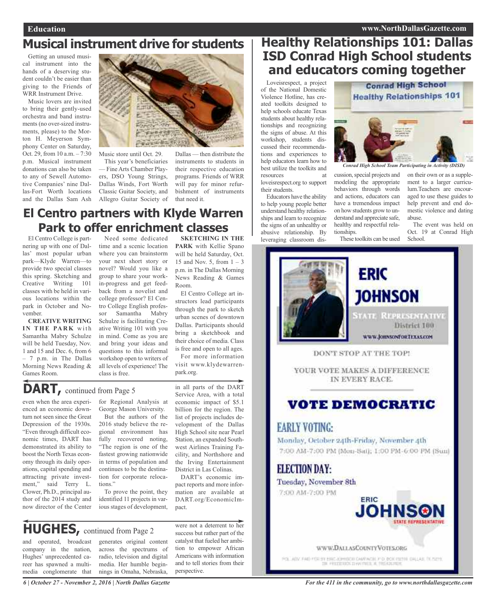### **Musical instrument drive for students**

Getting an unused musical instrument into the hands of a deserving student couldn't be easier than giving to the Friends of WRR Instrument Drive.

Music lovers are invited to bring their gently-used orchestra and band instruments (no over-sized instruments, please) to the Morton H. Meyerson Symphony Center on Saturday, Oct. 29, from 10 a.m. – 7:30 p.m. Musical instrument donations can also be taken to any of Sewell Automotive Companies' nine Dallas-Fort Worth locations and the Dallas Sam Ash



Music store until Oct. 29.

This year's beneficiaries — Fine Arts Chamber Players, DSO Young Strings, Dallas Winds, Fort Worth Classic Guitar Society, and Allegro Guitar Society of

Dallas — then distribute the instruments to students in their respective education programs. Friends of WRR will pay for minor refurbishment of instruments that need it.

### **El Centro partners with Klyde Warren Park to offer enrichment classes**

El Centro College is partnering up with one of Dallas' most popular urban park—Klyde Warren—to provide two special classes this spring. Sketching and Creative Writing 101 classes with be held in various locations within the park in October and November.

**CREATIVE WRITING I N T H E PA R K** w i t h Samantha Mabry Schulze will be held Tuesday, Nov. 1 and 15 and Dec. 6, from 6 – 7 p.m. in The Dallas Morning News Reading & Games Room.

Need some dedicated time and a scenic location where you can brainstorm your next short story or novel? Would you like a group to share your workin-progress and get feedback from a novelist and college professor? El Centro College English professor Samantha Mabry Schulze is facilitating Creative Writing 101 with you in mind. Come as you are and bring your ideas and questions to this informal workshop open to writers of all levels of experience! The class is free.

**SKETCHING IN THE PARK** with Kellie Spano will be held Saturday, Oct. 15 and Nov. 5, from  $1 - 3$ p.m. in The Dallas Morning News Reading & Games Room.

El Centro College art instructors lead participants through the park to sketch urban scenes of downtown Dallas. Participants should bring a sketchbook and their choice of media. Class is free and open to all ages.

For more information visit www.klydewarrenpark.org.

in all parts of the DART Service Area, with a total economic impact of \$5.1 billion for the region. The list of projects includes development of the Dallas High School site near Pearl Station, an expanded Southwest Airlines Training Facility, and Northshore and the Irving Entertainment District in Las Colinas. DART's economic impact reports and more information are available at DART.org/EconomicIm-

### **DART,** continued from Page <sup>5</sup>

even when the area experienced an economic downturn not seen since the Great Depression of the 1930s. "Even through difficult economic times, DART has demonstrated its ability to boost the North Texas economy through its daily operations, capital spending and attracting private investment," said Terry L. Clower, Ph.D., principal author of the 2014 study and now director of the Center

for Regional Analysis at George Mason University. But the authors of the 2016 study believe the regional environment has fully recovered noting, "The region is one of the fastest growing nationwide in terms of population and continues to be the destination for corporate reloca-

To prove the point, they identified 11 projects in various stages of development,

### **HUGHES,** continued from Page <sup>2</sup>

tions."

and operated, broadcast company in the nation, Hughes' unprecedented career has spawned a multimedia conglomerate that generates original content across the spectrums of radio, television and digital media. Her humble beginnings in Omaha, Nebraska,

were not a deterrent to her success but rather part of the catalyst that fueled her ambition to empower African Americans with information and to tell stories from their perspective.

pact.

### **Healthy Relationships 101: Dallas ISD Conrad High School students and educators coming together**

Loveisrespect, a project of the National Domestic Violence Hotline, has created toolkits designed to help schools educate Texas students about healthy relationships and recognizing the signs of abuse. At this workshop, students discussed their recommendations and experiences to help educators learn how to best utilize the toolkits and resources at

loveisrespect.org to support their students. Educators have the ability

to help young people better understand healthy relationships and learn to recognize the signs of an unhealthy or abusive relationship. By leveraging classroom dis-

# **Conrad High School Healthy Relationships 101**

*Conrad High School Team Participating in Activity (DISD)*

cussion, special projects and modeling the appropriate behaviors through words and actions, educators can have a tremendous impact on how students grow to understand and appreciate safe, healthy and respectful relationships.

These toolkits can be used

on their own or as a supplement to a larger curriculum.Teachers are encouraged to use these guides to help prevent and end domestic violence and dating abuse.

The event was held on Oct. 19 at Conrad High School.



POLJADV, FAID HOR BY EIRC ADMINISTRATIVE OD DOCTION ORLLAST DE BIEHE

*6 | October 27 - November 2, 2016 | North Dallas Gazette*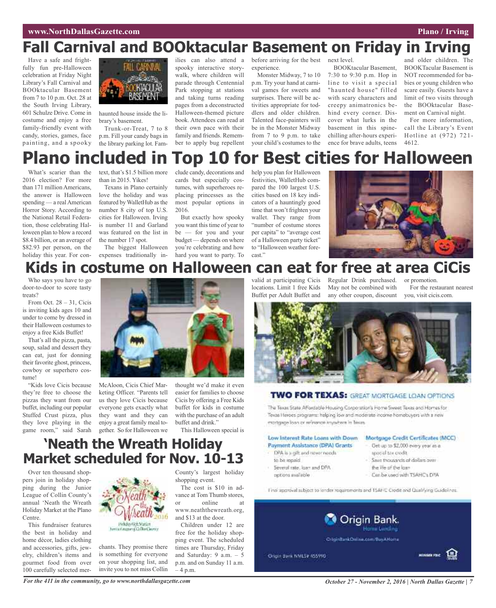# **Fall Carnival and BOOktacular Basement on Friday in Irving**

Have a safe and frightfully fun pre-Halloween celebration at Friday Night Library's Fall Carnival and BOOktacular Basement from 7 to 10 p.m. Oct. 28 at the South Irving Library, 601 Schulze Drive. Come in costume and enjoy a free family-friendly event with candy, stories, games, face painting, and a spooky



haunted house inside the library's basement.

Trunk-or-Treat, 7 to 8 p.m. Fill your candy bags in the library parking lot. Famspooky interactive storywalk, where children will parade through Centennial Park stopping at stations and taking turns reading pages from a deconstructed Halloween-themed picture book. Attendees can read at their own pace with their family and friends. Remember to apply bug repellent

ilies can also attend a before arriving for the best next level. experience.

Monster Midway, 7 to 10 p.m. Try your hand at carnival games for sweets and surprises. There will be activities appropriate for toddlers and older children. Talented face-painters will be in the Monster Midway from 7 to 9 p.m. to take your child's costumes to the

BOOKtacular Basement, 7:30 to 9:30 p.m. Hop in line to visit a special "haunted house" filled with scary characters and creepy animatronics behind every corner. Discover what lurks in the basement in this spinechilling after-hours experience for brave adults, teens 4612.

and older children. The BOOKTacular Basement is NOT recommended for babies or young children who scare easily. Guests have a limit of two visits through the BOOktacular Basement on Carnival night.

For more information, call the Library's Event Hotline at (972) 721-

# **Plano included in Top 10 for Best cities for Halloween**

What's scarier than the 2016 election? For more than 171 million Americans the answer is Halloween spending — a real American Horror Story. According to the National Retail Federation, those celebrating Halloween plan to blow a record \$8.4 billion, or an average of \$82.93 per person, on the holiday this year. For con-

text, that's \$1.5 billion more than in 2015. Yikes!

Texans in Plano certainly love the holiday and was featured by WalletHub asthe number 8 city of top U.S. cities for Halloween. Irving is number 11 and Garland was featured on the list in the number 17 spot.

The biggest Halloween expenses traditionally in-

clude candy, decorations and cards but especially costumes, with superheroes replacing princesses as the most popular options in 2016.

But exactly how spooky you want this time of year to be — for you and your budget — depends on where you're celebrating and how hard you want to party. To

help you plan for Halloween festivities, WalletHub compared the 100 largest U.S. cities based on 18 key indicators of a hauntingly good time that won't frighten your wallet. They range from "number of costume stores per capita" to "average cost of a Halloween party ticket" to "Halloween weather forecast."



### **Kids in costume on Halloween can eat for free at area CiCis**

Who says you have to go door-to-door to score tasty treats?

From Oct.  $28 - 31$ , Cicis is inviting kids ages 10 and under to come by dressed in their Halloween costumes to enjoy a free Kids Buffet!

That's all the pizza, pasta, soup, salad and dessert they can eat, just for donning their favorite ghost, princess, cowboy or superhero costume!

"Kids love Cicis because they're free to choose the pizzas they want from our buffet, including our popular Stuffed Crust pizza, plus they love playing in the game room," said Sarah



McAloon, Cicis Chief Marketing Officer. "Parents tell us they love Cicis because everyone gets exactly what they want and they can enjoy a great family meal together. So for Halloween we

thought we'd make it even easier for families to choose Cicis by offering a Free Kids buffet for kids in costume with the purchase of an adult buffet and drink." This Halloween special is

valid at participating Cicis locations. Limit 1 free Kids Buffet per Adult Buffet and

Regular Drink purchased. May not be combined with any other coupon, discount

or promotion.

For the restaurant nearest you, visit cicis.com.



### **TWO FOR TEXAS: GREAT MORTGAGE LOAN OPTIONS**

The Texas State Affordable Housing Corporation's Home Sweet Texas and Homes for Texas Heroes programs: helping low and moderate income homebuyers with a new mortgage foan or refinence knywhere in Texas

### Low Interest Rate Loans with Down

- Paymont Assistance (DPA) Grants
- DPA is a gift and newer needs to be repaid
- Several rate, laan and DFA potions available
- Get up to \$2,000 every year as a special tax credit.

Mortgage Credit Certificates (MCC)

- Savo thousands of dollars over
- the Vie of the lasm
- Can be used with TSAHC's DFA

Final approval subject to lender requirements and 15APC Credit and Qualifying Guidelines.



**'Neath the Wreath Holiday Market scheduled for Nov. 10-13**

Over ten thousand shoppers join in holiday shopping during the Junior League of Collin County's annual 'Neath the Wreath Holiday Market at the Plano Centre.

This fundraiser features the best in holiday and home décor, ladies clothing and accessories, gifts, jewelry, children's items and gourmet food from over 100 carefully selected mer-



chants. They promise there is something for everyone on your shopping list, and invite you to not miss Collin County's largest holiday shopping event.

The cost is \$10 in advance at Tom Thumb stores, or online at www.neaththewreath.org, and \$13 at the door.

Children under 12 are free for the holiday shopping event. The scheduled times are Thursday, Friday and Saturday: 9 a.m. – 5 p.m. and on Sunday 11 a.m. – 4 p.m.

### For the 411 in the community, go to www.northdallasgazette.com October 27 - November 2, 2016 | North Dallas Gazette | 7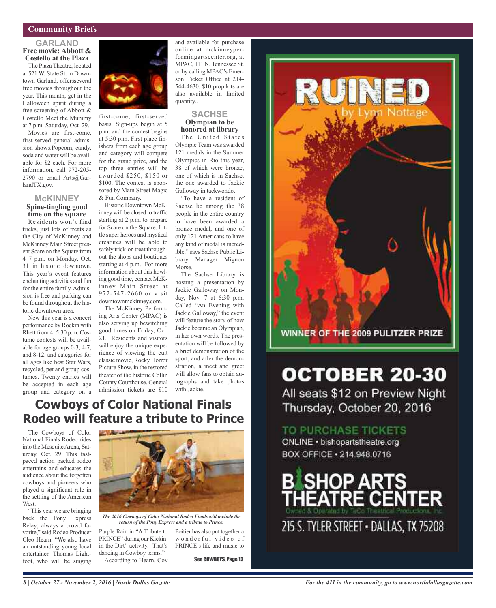### **Community Briefs**

#### **GARLAND Free movie: Abbott & Costello at the Plaza**

The Plaza Theatre, located at 521 W. State St. in Downtown Garland, offersseveral free movies throughout the year. This month, get in the Halloween spirit during a free screening of Abbott & Costello Meet the Mummy at 7 p.m. Saturday, Oct. 29.

Movies are first-come, first-served general admission shows.Popcorn, candy, soda and water will be available for \$2 each. For more information, call 972-205- 2790 or email Arts@GarlandTX.gov.

### **McKINNEY Spine-tingling good time on the square**

Residents won't find tricks, just lots of treats as the City of McKinney and McKinney Main Street present Scare on the Square from 4–7 p.m. on Monday, Oct. 31 in historic downtown. This year's event features enchanting activities and fun for the entire family. Admission is free and parking can be found throughout the historic downtown area.

New this year is a concert performance by Rockin with Rhett from 4–5:30 p.m. Costume contests will be available for age groups 0-3, 4-7, and 8-12, and categories for all ages like best Star Wars, recycled, pet and group costumes. Twenty entries will be accepted in each age group and category on a



first-come, first-served basis. Sign-ups begin at 5 p.m. and the contest begins at 5:30 p.m. First place finishers from each age group and category will compete for the grand prize, and the top three entries will be awarded \$250, \$150 or \$100. The contest is sponsored by Main Street Magic & Fun Company.

Historic Downtown McKinney will be closed to traffic starting at 2 p.m. to prepare for Scare on the Square. Little super heroes and mystical creatures will be able to safely trick-or-treat throughout the shops and boutiques starting at 4 p.m. For more information about this howling good time, contact McKinney Main Street at 972-547-2660 or visit downtownmckinney.com.

The McKinney Performing Arts Center (MPAC) is also serving up bewitching good times on Friday, Oct. 21. Residents and visitors will enjoy the unique experience of viewing the cult classic movie, Rocky Horror Picture Show, in the restored theater of the historic Collin County Courthouse. General admission tickets are \$10

and available for purchase online at mckinneyperformingartscenter.org, at MPAC, 111 N. Tennessee St. or by calling MPAC's Emerson Ticket Office at 214- 544-4630. \$10 prop kits are also available in limited quantity..

#### **SACHSE Olympian to be honored at library**

The United States Olympic Team was awarded 121 medals in the Summer Olympics in Rio this year, 38 of which were bronze, one of which is in Sachse, the one awarded to Jackie Galloway in taekwondo.

"To have a resident of Sachse be among the 38 people in the entire country to have been awarded a bronze medal, and one of only 121 Americans to have any kind of medal is incredible," says Sachse Public Library Manager Mignon Morse.

The Sachse Library is hosting a presentation by Jackie Galloway on Monday, Nov. 7 at 6:30 p.m. Called "An Evening with Jackie Galloway," the event will feature the story of how Jackie became an Olympian, in her own words. The presentation will be followed by a brief demonstration of the sport, and after the demonstration, a meet and greet will allow fans to obtain autographs and take photos with Jackie.

### **Cowboys of Color National Finals Rodeo will feature a tribute to Prince**

The Cowboys of Color National Finals Rodeo rides into the Mesquite Arena, Saturday, Oct. 29. This fastpaced action packed rodeo entertains and educates the audience about the forgotten cowboys and pioneers who played a significant role in the settling of the American **West**.

"This year we are bringing back the Pony Express Relay; always a crowd favorite," said Rodeo Producer Cleo Hearn. "We also have an outstanding young local entertainer, Thomas Lightfoot, who will be singing



*The 2016 Cowboys of Color National Rodeo Finals will include the return of the Pony Express and a tribute to Prince.*

Purple Rain in "A Tribute to PRINCE" during our Kickin' in the Dirt" activity. That's dancing in Cowboy terms." According to Hearn, Coy

Poitier has also put together a wonderful video of PRINCE's life and music to

See COWBOYS, Page 13



# **OCTOBER 20-30**

All seats \$12 on Preview Night Thursday, October 20, 2016

TO PURCHASE TICKETS

ONLINE · bishopartstheatre.org BOX OFFICE · 214.948.0716

SHOP ARTS<br>HEATRE CENTER

215 S. TYLER STREET - DALLAS, TX 75208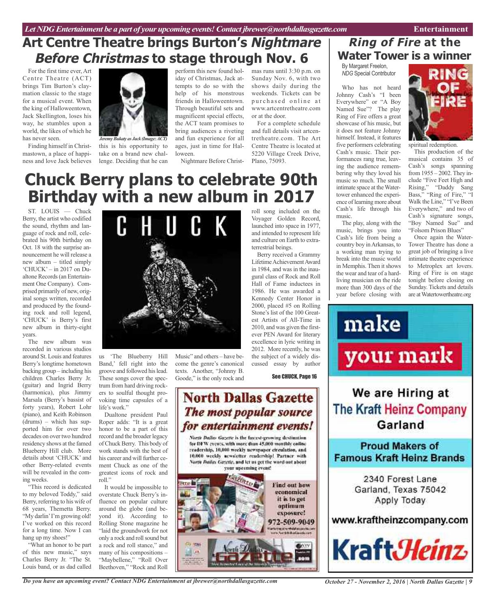### **Art Centre Theatre brings Burton's Nightmare Before Christmas to stage through Nov. 6**

For the first time ever, Art Centre Theatre (ACT) brings Tim Burton's claymation classic to the stage for a musical event. When the king of Halloweentown, Jack Skellington, loses his way, he stumbles upon a world, the likes of which he has never seen.

Finding himself in Christmastown, a place of happiness and love Jack believes



this is his opportunity to take on a brand new challenge. Deciding that he can *JeremyBukaty as Jack (Image:ACT)*

perform this new found holiday of Christmas, Jack attempts to do so with the help of his monstrous friends in Halloweentown. Through beautiful sets and magnificent special effects, the ACT team promises to bring audiences a riveting and fun experience for all ages, just in time for Halloween.

Nightmare Before Christ-

mas runs until 3:30 p.m. on Sunday Nov. 6, with two shows daily during the weekends. Tickets can be purchased online at www.artcentretheatre.com or at the door.

For a complete schedule and full details visit artcentretheatre.com. The Art Centre Theatre is located at 5220 Village Creek Drive, Plano, 75093.

Voyager Golden Record, launched into space in 1977, and intended to represent life and culture on Earth to extra-

Berry received a Grammy Lifetime Achievement Award in 1984, and was in the inaugural class of Rock and Roll Hall of Fame inductees in 1986. He was awarded a Kennedy Center Honor in 2000, placed #5 on Rolling Stone's list of the 100 Greatest Artists of All-Time in 2010, and was given the firstever PEN Award for literary excellence in lyric writing in 2012. More recently, he was the subject of a widely discussed essay by author

terrestrial beings.

### roll song included on the **Chuck Berry plans to celebrate 90th Birthday with a new album in 2017**

ST. LOUIS — Chuck Berry, the artist who codified the sound, rhythm and language of rock and roll, celebrated his 90th birthday on Oct. 18 with the surprise announcement he will release a new album – titled simply 'CHUCK' – in 2017 on Dualtone Records(an Entertainment One Company). Comprised primarily of new, original songs written, recorded and produced by the founding rock and roll legend, 'CHUCK' is Berry's first new album in thirty-eight years.

The new album was recorded in various studios around St. Louis and features Berry's longtime hometown backing group – including his children Charles Berry Jr. (guitar) and Ingrid Berry (harmonica), plus Jimmy Marsala (Berry's bassist of forty years), Robert Lohr (piano), and Keith Robinson (drums) – which has supported him for over two decades on over two hundred residency shows at the famed Blueberry Hill club. More details about 'CHUCK' and other Berry-related events will be revealed in the coming weeks.

This record is dedicated to my beloved Toddy," said Berry, referring to his wife of 68 years, Themetta Berry. "My darlin'I'm growing old! I've worked on this record for a long time. Now I can hang up my shoes!"

"What an honor to be part of this new music," says Charles Berry Jr. "The St. Louis band, or as dad called



us 'The Blueberry Hill Band,' fell right into the groove and followed hislead. These songs cover the spectrum from hard driving rockers to soulful thought provoking time capsules of a life's work."

Dualtone president Paul Roper adds: "It is a great honor to be a part of this record and the broader legacy of Chuck Berry. This body of work stands with the best of his career and will further cement Chuck as one of the greatest icons of rock and roll."

It would be impossible to overstate Chuck Berry's influence on popular culture around the globe (and beyond it). According to Rolling Stone magazine he "laid the groundwork for not only a rock and rollsound but a rock and roll stance," and many of his compositions – "Maybellene," "Roll Over Beethoven," "Rock and Roll

Music" and others – have become the genre's canonical texts. Another, "Johnny B. Goode," is the only rock and

See CHUCK, Page 16

### **North Dallas Gazette** The most popular source for entertainment events!

North Dallas Gazette is the fascest-growing destimation for DFW events, with more than 45,000 monthly enline readership, 10,000 weekly newspaper circulation, and 10,000 weekly acweletter readership! Partner with North Dailas Gazette, and let us get the word out about your upcoming event!



### **Ring of Fire at the Water Tower is a winner**

By Margaret Freelon, *NDG* Special Contributor

Who has not heard Johnny Cash's "I been Everywhere" or "A Boy Named Sue"? The play Ring of Fire offers a great showcase of his music, but it does not feature Johnny himself. Instead, it features five performers celebrating Cash's music. Their performances rang true, leaving the audience remembering why they loved his music so much. The small intimate space at theWatertower enhanced the experience of learning more about Cash's life through his music.

The play, along with the music, brings you into Cash's life from being a country boy inArkansas, to a working man trying to break into the music world in Memphis. Then it shows the wear and tear of a hardliving musician on the ride more than 300 days of the year before closing with



spiritual redemption.

This production of the musical contains 35 of Cash's songs spanning from  $1955 - 2002$ . They include "Five Feet High and Rising," "Daddy Sang Bass," "Ring of Fire," "I Walk the Line," "I've Been Everywhere," and two of Cash's signature songs, "Boy Named Sue" and "Folsom Prison Blues"

Once again the Water-Tower Theatre has done a great job of bringing a live intimate theatre experience to Metroplex art lovers. Ring of Fire is on stage tonight before closing on Sunday. Tickets and details are atWatertowertheatre.org



www.kraftheinzcompany.com



*Do you have an upcoming event? Contact NDG Entertainment at jbrewer@northdallasgazette.com*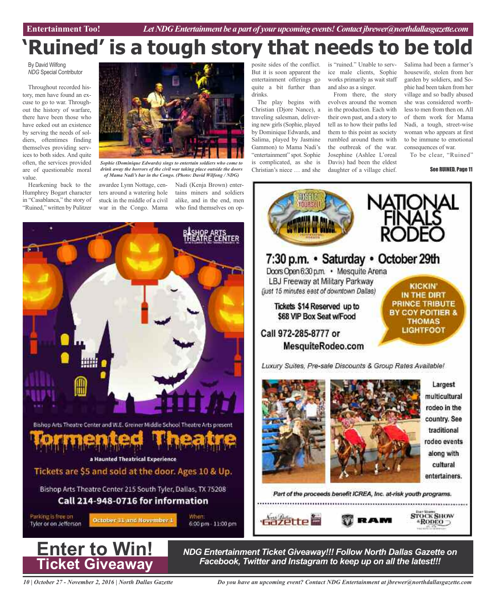# **'Ruined' is a tough story that needs to be told**

By David Wilfong *NDG* Special Contributor

Throughout recorded history, men have found an excuse to go to war. Throughout the history of warfare, there have been those who have eeked out an existence by serving the needs of soldiers, oftentimes finding themselves providing services to both sides. And quite often, the services provided are of questionable moral value.

Hearkening back to the Humphrey Bogart character in "Casablanca," the story of "Ruined," written by Pulitzer



*drink away the horrors of the civil war taking place outside the doors of Mama Nadi's bar in the Congo. (Photo: David Wilfong / NDG)*

awardee Lynn Nottage, centers around a watering hole stuck in the middle of a civil war in the Congo. Mama

Nadi (Kenja Brown) entertains miners and soldiers alike, and in the end, men who find themselves on op-



posite sides of the conflict. But it is soon apparent the entertainment offerings go quite a bit further than drinks.

The play begins with Christian (Djore Nance), a traveling salesman, delivering new girls(Sophie, played by Dominique Edwards, and Salima, played by Jasmine Gammon) to Mama Nadi's "entertainment" spot. Sophie is complicated, as she is Christian's niece … and she

is "ruined." Unable to service male clients, Sophie works primarily as wait staff and also as a singer.

From there, the story evolves around the women in the production. Each with their own past, and a story to tell as to how their paths led them to this point as society rumbled around them with the outbreak of the war. Josephine (Ashlee L'oreal Davis) had been the eldest daughter of a village chief.

Salima had been a farmer's housewife, stolen from her garden by soldiers, and Sophie had been taken from her village and so badly abused she was considered worthlessto men from then on.All of them work for Mama Nadi, a tough, street-wise woman who appears at first to be immune to emotional consequences of war.

To be clear, "Ruined"

See RUINED, Page 11





*NDG Entertainment Ticket Giveaway!!! Follow North Dallas Gazette on Facebook, Twitter and Instagram to keep up on all the latest!!!*

*10 | October 27 - November 2, 2016 | North Dallas Gazette*

*Do you have an upcoming event? Contact NDG Entertainment at jbrewer@northdallasgazette.com*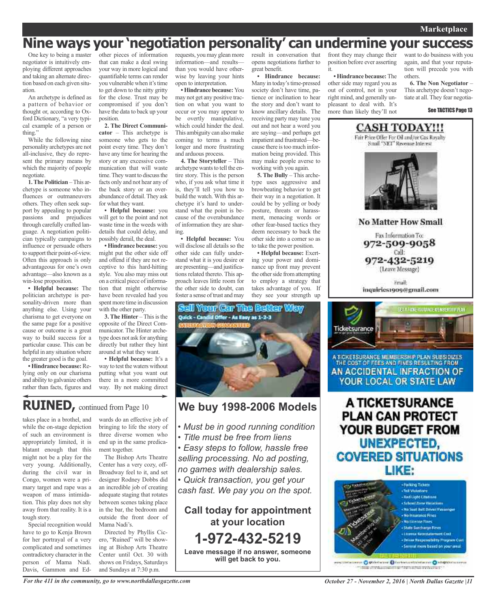### **Nine ways your 'negotiation personality' can undermine your success**

One key to being a master negotiator is intuitively employing different approaches and taking an alternate direction based on each given situation.

An archetype is defined as a pattern of behavior or thought or, according to Oxford Dictionary, "a very typical example of a person or thing."

While the following nine personality archetypes are not all-inclusive, they do represent the primary means by which the majority of people negotiate.

**1.The Politician** –This archetype is someone who influences or outmaneuvers others. They often seek support by appealing to popular passions and prejudices through carefully crafted language. A negotiation politician typically campaigns to influence or persuade others to support their point-of-view. Often this approach is only advantageous for one's own advantage—also known as a win-lose proposition.

**• Helpful because:** The politician archetype is personality-driven more than anything else. Using your charisma to get everyone on the same page for a positive cause or outcome is a great way to build success for a particular cause. This can be helpful in any situation where the greater good is the goal.

**• Hindrance because:**Relying only on our charisma and ability to galvanize others rather than facts, figures and other pieces of information that can make a deal swing your way in more logical and quantifiable terms can render you vulnerable when it's time to get down to the nitty gritty for the close. Trust may be compromised if you don't have the data to back up your position.

**2. The Direct Communicator** – This archetype is someone who gets to the point every time. They don't have any time for hearing the story or any excessive communication that will waste time. They want to discuss the facts only and not hear any of the back story or an overabundance of detail.They ask for what they want.

**• Helpful because:** you will get to the point and not waste time in the weeds with details that could delay, and possibly derail, the deal.

**• Hindrance because:** you might put the other side off and offend if they are not receptive to this hard-hitting style. You also may miss out on a critical piece of information that might otherwise have been revealed had you spent more time in discussion with the other party.

**3. The Hinter** – This is the opposite of the Direct Communicator. The Hinter archetype does not ask for anything directly but rather they hint around at what they want.

**• Helpful because:** It's a way to test the waters without putting what you want out there in a more committed way. By not making direct

### **RUINED,** continued from Page <sup>10</sup> **We buy 1998-2006 Models**

takes place in a brothel, and while the on-stage depiction of such an environment is appropriately limited, it is blatant enough that this might not be a play for the very young. Additionally, during the civil war in Congo, women were a primary target and rape was a weapon of mass intimidation. This play does not shy away from that reality. It is a tough story.

Special recognition would have to go to Kenja Brown for her portrayal of a very complicated and sometimes contradictory character in the person of Mama Nadi. Davis, Gammon and Edwards do an effective job of bringing to life the story of three diverse women who end up in the same predicament together.

The Bishop Arts Theatre Center has a very cozy, off-Broadway feel to it, and set designer Rodney Dobbs did an incredible job of creating adequate staging that rotates between scenes taking place in the bar, the bedroom and outside the front door of Mama Nadi's.

Directed by Phyllis Cicero, "Ruined" will be showing at Bishop Arts Theatre Center until Oct. 30 with shows on Fridays, Saturdays and Sundays at 7:30 p.m.

requests, you may glean more information—and results than you would have otherwise by leaving your hints open to interpretation.

**•Hindrance because:** You may not get any positive traction on what you want to occur or you may appear to be overtly manipulative, which could hinder the deal. This ambiguity can alsomake coming to terms a much longer and more frustrating and arduous process.

**4. The Storyteller** – This archetype wants to tell the entire story. This is the person who, if you ask what time it is, they'll tell you how to build the watch. With this archetype it's hard to understand what the point is because of the overabundance of information they are sharing.

**• Helpful because:** You will disclose all details so the other side can fully understand what it is you desire or are presenting—and justifications related thereto. This approach leaves little room for the other side to doubt, can foster a sense of trust and may

result in conversation that opens negotiations further to great benefit.

**• Hindrance because:** Many in today's time-pressed society don't have time, patience or inclination to hear the story and don't want to know ancillary details. The receiving party may tune you out and not hear a word you are saying—and perhaps get impatient and frustrated—because there is too much information being provided. This may make people averse to working with you again.

**5. The Bully** – This archetype uses aggressive and browbeating behavior to get their way in a negotiation. It could be by yelling or body posture, threats or harassment, menacing words or other fear-based tactics they deem necessary to back the other side into a corner so as to take the power position.

**• Helpful because:** Exerting your power and dominance up front may prevent the other side from attempting to employ a strategy that takes advantage of you. If they see your strength up

front they may change their position before ever asserting it.

**• Hindrance because:**The other side may regard you as out of control, not in your right mind, and generally unpleasant to deal with. It's more than likely they'll not

want to do business with you again, and that your reputation will precede you with others.

**6. The Non Negotiator** – This archetype doesn't negotiate at all. They fear negotia-

See TACTICS Page 13



**No Matter How Small** 

Fax Information To: 972-509-9058 Call: 972-432-5219 (Leave Message)

**Email** inquiries1909@gmail.com



A TICKETSURANCE MEMBERSH P PLAN SUBSIDIZES THE COST OF FEES AND FINES RESULTING FROM AN ACCIDENTAL INFRACTION OF YOUR LOCAL OR STATE LAW

A TICKETSURANCE **PLAN CAN PROTECT** YOUR BUDGET FROM UNEXPECTED, **COVERED SITUATIONS** LIKE:



intarance: O pithstarane O forthermatichiture o O khoppermannes make produce committed it replications we want to the



- *• Must be in good running condition*
- *• Title must be free from liens*
- *• Easy steps to follow, hassle free selling processing. No ad posting, no games with dealership sales.*
- *• Quick transaction, you get your*

*cash fast. We pay you on the spot.*

**Call today for appointment at your location 1-972-432-5219**

**Leave message if no answer, someone will get back to you.**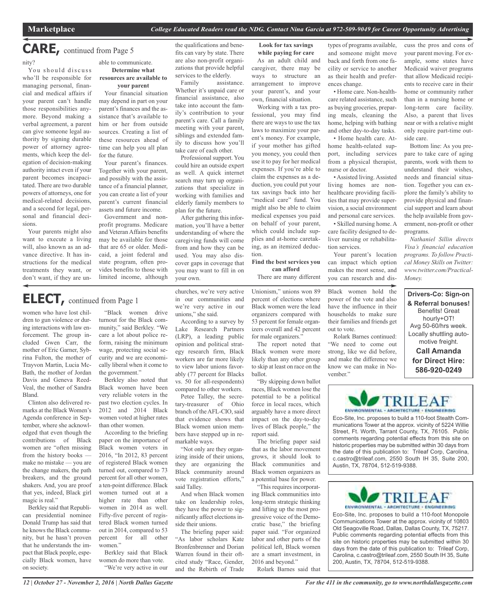### **CARE,** continued from Page <sup>5</sup>

nity?

You should discuss who'll be responsible for managing personal, financial and medical affairs if your parent can't handle those responsibilities anymore. Beyond making a verbal agreement, a parent can give someone legal authority by signing durable power of attorney agreements, which keep the delegation of decision-making authority intact even if your parent becomes incapacitated. There are two durable powers of attorneys, one for medical-related decisions, and a second for legal, personal and financial decisions.

Your parents might also want to execute a living will, also known as an advance directive. It has instructions for the medical treatments they want, or don't want, if they are unable to communicate. **Determine what resources are available to your parent**

Your financial situation may depend in part on your parent's finances and the assistance that's available to him or her from outside sources. Creating a list of these resources ahead of time can help you all plan for the future.

Your parent's finances. Together with your parent, and possibly with the assistance of a financial planner, you can create a list of your parent's current financial assets and future income.

Government and nonprofit programs. Medicare and Veteran Affairs benefits may be available for those that are 65 or older. Medicaid, a joint federal and state program, often provides benefits to those with limited income, although

### **ELECT,** continued from Page <sup>1</sup>

women who have lost children to gun violence or during interactions with law enforcement. The group included Gwen Carr, the mother of Eric Garner, Sybrina Fulton, the mother of Trayvon Martin, Lucia Mc-Bath, the mother of Jordan Davis and Geneva Reed-Veal, the mother of Sandra Bland.

Clinton also delivered remarks at the Black Women's Agenda conference in September, where she acknowledged that even though the contributions of Black women are "often missing from the history books make no mistake — you are the change makers, the path breakers, and the ground shakers. And, you are proof that yes, indeed, Black girl magic is real."

Berkley said that Republican presidential nominee Donald Trump has said that he knows the Black community, but he hasn't proven that he understands the impact that Black people, especially Black women, have on society.

"Black women drive turnout for the Black community," said Berkley. "We care a lot about police reform, raising the minimum wage, protecting social security and we are economically liberal when it come to the government."

Berkley also noted that Black women have been very reliable voters in the past two election cycles. In 2012 and 2014 Black women voted at higher rates than other women.

According to the briefing paper on the importance of Black women voters in 2016, "In 2012, 83 percent of registered Black women turned out, compared to 73 percent for all other women, a ten-point difference. Black women turned out at a higher rate than other women in 2014 as well. Fifty-five percent of registered Black women turned out in 2014, compared to 53 percent for all other women."

Berkley said that Black women do more than vote. "We're very active in our the qualifications and benefits can vary by state. There are also non-profit organizations that provide helpful services to the elderly.

Family assistance. Whether it's unpaid care or financial assistance, also take into account the family's contribution to your parent's care. Call a family meeting with your parent, siblings and extended family to discuss how you'll take care of each other.

Professional support. You could hire an outside expert as well. A quick internet search may turn up organizations that specialize in working with families and elderly family members to plan for the future.

After gathering this information, you'll have a better understanding of where the caregiving funds will come from and how they can be used. You may also discover gaps in coverage that you may want to fill in on your own.

churches, we're very active in our communities and we're very active in our

According to a survey by Lake Research Partners (LRP), a leading public opinion and political strategy research firm, Black workers are far more likely to view labor unions favorably (77 percent for Blacks vs. 50 for all-respondents) compared to other workers. Petee Talley, the secretary-treasurer of Ohio branch of the AFL-CIO, said that evidence shows that Black women union members have stepped up in re-

unions," she said.

markable ways.

said Talley.

side their unions.

"Not only are they organizing inside of their unions, they are organizing the Black community around vote registration efforts,"

And when Black women take on leadership roles, they have the power to significantly affect elections in-

The briefing paper said: "As labor scholars Kate Bronfenbrenner and Dorian Warren found in their oftcited study "Race, Gender, and the Rebirth of Trade

**Look for tax savings while paying for care** As an adult child and caregiver, there may be ways to structure an arrangement to improve your parent's, and your

own, financial situation. Working with a tax professional, you may find there are ways to use the tax laws to maximize your parent's money. For example, if your mother has gifted you money, you could then use it to pay for her medical expenses. If you're able to claim the expenses as a deduction, you could put your tax savings back into her "medical care" fund. You might also be able to claim medical expenses you paid on behalf of your parent, which could include supplies and at-home caretaking, as an itemized deduction.

**Find the best services you can afford**

There are many different

Unionism," unions won 89 percent of elections where Black women were the lead organizers compared with 53 percent for female organizers overall and 42 percent for male organizers."

The report noted that Black women were more likely than any other group to skip at least on race on the ballot.

"By skipping down ballot races, Black women lose the potential to be a political force in local races, which arguably have a more direct impact on the day-to-day lives of Black people," the report said.

The briefing paper said that as the labor movement grows, it should look to Black communities and Black women organizers as a potential base for power.

"This requires incorporating Black communities into long-term strategic thinking and lifting up the most progressive voice of the Democratic base," the briefing paper said. "For organized labor and other parts of the political left, Black women are a smart investment, in 2016 and beyond."

Rolark Barnes said that

types of programs available, and someone might move back and forth from one facility or service to another as their health and preferences change.

• Home care. Non-healthcare related assistance, such as buying groceries, preparing meals, cleaning the home, helping with bathing and other day-to-day tasks. • Home health care. At-

home health-related support, including services from a physical therapist, nurse or doctor.

• Assisted living. Assisted living homes are nonhealthcare providing facilities that may provide supervision, a social environment and personal care services.

• Skilled nursing home. A care facility designed to deliver nursing or rehabilitation services.

Your parent's location can impact which option makes the most sense, and you can research and dis-

Black women hold the power of the vote and also have the influence in their households to make sure their families and friends get out to vote.

Rolark Barnes continued: "We need to come out strong, like we did before, and make the difference we know we can make in November."



Eco-Site, Inc. proposes to build a 110-foot Stealth Communications Tower at the approx. vicinity of 5224 Willie Street, Ft. Worth, Tarrant County, TX, 76105. Public comments regarding potential effects from this site on historic properties may be submitted within 30 days from the date of this publication to: Trileaf Corp, Carolina, c.castro@trileaf.com, 2550 South IH 35, Suite 200, Austin, TX, 78704, 512-519-9388.



Eco-Site, Inc. proposes to build a 110-foot Monopole Communications Tower at the approx. vicinity of 10803 Old Seagoville Road, Dallas, Dallas County, TX, 75217. Public comments regarding potential effects from this site on historic properties may be submitted within 30 days from the date of this publication to: Trileaf Corp, Carolina, c.castro@trileaf.com, 2550 South IH 35, Suite 200, Austin, TX, 78704, 512-519-9388.

*12 | October 27 - November 2, 2016 | North Dallas Gazette*

Medicaid waiver programs that allow Medicaid recipients to receive care in their home or community rather than in a nursing home or long-term care facility. Also, a parent that lives near or with a relative might only require part-time outside care. Bottom line: As you pre-

cuss the pros and cons of your parent moving. For example, some states have

pare to take care of aging parents, work with them to understand their wishes, needs and financial situation. Together you can explore the family's ability to provide physical and financial support and learn about the help available from government, non-profit or other programs.

*Nathaniel Sillin directs Visa's financial education programs. To follow Practical Money Skills on Twitter: www.twitter.com/Practical-Money.*

**Drivers-Co: Sign-on & Referral bonuses!** Benefits! Great hourly+OT! Avg 50-60/hrs week. Locally shuttling automotive freight. **Call Amanda for Direct Hire: 586-920-0249**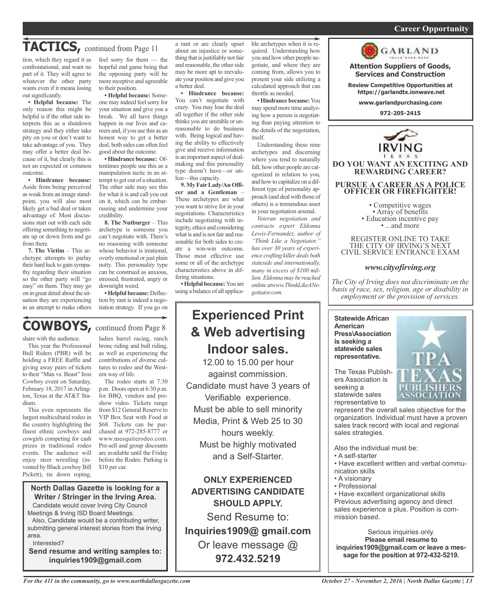#### *On a quest for qualified candidates? Contact Nina Garcia at 972-509-9049* **Career Opportunity**

# TACTICS, continued from Page 11

tion, which they regard it as confrontational, and want no part of it. They will agree to whatever the other party wants even if it means losing out significantly.

**• Helpful because:** The only reason this might be helpful is if the other side interprets this as a shutdown strategy and they either take pity on you or don't want to take advantage of you. They may offer a better deal because of it, but clearly this is not an expected or common outcome.

**• Hindrance because:** Aside from being perceived as weak from an image standpoint, you will also most likely get a bad deal or taken advantage of. Most discussions start out with each side offering something to negotiate up or down from and go from there.

**7. The Victim** – This archetype attempts to parlay their hard luck to gain sympathy regarding their situation so the other party will "go easy" on them. They may go on in great detail about the situation they are experiencing in an attempt to make others feel sorry for them — the hopeful end game being that the opposing party will be more receptive and agreeable to their position.

**• Helpful because:** Someone may indeed feel sorry for your situation and give you a break. We all have things happen in our lives and careers and, if you use this as an honest way to get a better deal, both sides can often feel good about the outcome.

**• Hindrance because:** Oftentimes people use this as a manipulation tactic in an attempt to get out of a situation. The other side may see this for what it is and call you out on it, which can be embarrassing and undermine your credibility.

**8. The Nutburger** – This archetype is someone you can't negotiate with. There's no reasoning with someone whose behavior is irrational, overly emotional or just plain nutty. This personality type can be construed as anxious, stressed, frustrated, angry or downright weird.

**•Helpful because:** Deflection by rant is indeed a negotiation strategy. If you go on

### **COWBOYS,** continued from Page <sup>8</sup>

share with the audience.

This year the Professional Bull Riders (PBR) will be holding a FREE Raffle and giving away pairs of tickets to their "Man vs. Beast" Iron Cowboy event on Saturday, February 18, 2017 in Arlington, Texas at the AT&T Stadium.

This even represents the largest multicultural rodeo in the country highlighting the finest ethnic cowboys and cowgirls competing for cash prizes in traditional rodeo events. The audience will enjoy steer wrestling (invented by Black cowboy Bill Pickett), tie down roping,

ladies barrel racing, ranch bronc riding and bull riding, as well as experiencing the contributions of diverse cultures to rodeo and the Western way of life.

The rodeo starts at 7:30 p.m. Doors open at 6:30 p.m. for BBQ, vendors and preshow video. Tickets range from \$12 General Reserve to VIP Box Seat with Food at \$68. Tickets can be purchased at 972-285-8777 or www.mesquiterodeo.com. Pre-sell and group discounts are available until the Friday before the Rodeo. Parking is \$10 per car.

### **North Dallas Gazette is looking for a Writer / Stringer in the Irving Area.**

Candidate would cover Irving City Council Meetings & Irving ISD Board Meetings.

Also, Candidate would be a contributing writer, submitting general interest stories from the Irving area.

Interested?

**Send resume and writing samples to: inquiries1909@gmail.com**

a rant or are clearly upset about an injustice or something that is justifiably not fair and reasonable, the other side may be more apt to reevaluate your position and give you a better deal.

**• Hindrance because:** You can't negotiate with crazy. You may lose the deal all together if the other side thinks you are unstable or unreasonable to do business with. Being logical and having the ability to effectively give and receive information is an important aspect of dealmaking and this personality type doesn't have—or utilize—this capacity.

**9. My FairLady/An Officer and a Gentleman** – These archetypes are what you want to strive for in your negotiations. Characteristics include negotiating with integrity, ethics and considering what is and is not fair and reasonable for both sides to create a win-win outcome. Those most effective use some or all of the archetype characteristics above in differing situations.

**•Helpful because:**You are using a balance of all applica-

### **Experienced Print & Web advertising Indoor sales.**

12.00 to 15.00 per hour against commission. Candidate must have 3 years of Verifiable experience. Must be able to sell minority Media, Print & Web 25 to 30 hours weekly. Must be highly motivated and a Self-Starter.

**ONLY EXPERIENCED ADVERTISING CANDIDATE SHOULD APPLY.**

Send Resume to: **Inquiries1909@ gmail.com** Or leave message @ **972.432.5219**

ble archetypes when it is required. Understanding how you and how other people negotiate, and where they are coming from, allows you to present your side utilizing a calculated approach that can throttle as needed.

**• Hindrance because:**You may spend more time analyzing how a person is negotiating than paying attention to the details of the negotiation, itself.

Understanding these nine archetypes and discerning where you tend to naturally fall, how other people are categorized in relation to you, and how to capitalize on a different type of personality approach (and deal with those of others) is a tremendous asset in your negotiation arsenal.

*Veteran negotiation and contracts expert Eldonna Lewis-Fernandez, author of "Think Like a Negotiator," has over 30 years of experience crafting killer deals both stateside and internationally, many in excess of \$100 million. Eldonna may be reached online atwww.ThinkLikeANegotiator.com.*



**Attention Suppliers of Goods, Services and Construction**

**Review Competitive Opportunities at https://garlandtx.ionwave.net**

**www.garlandpurchasing.com**

**972-205-2415**



• Competitive wages<br>• Array of benefits<br>• Education incentive pay<br>• ...and more

REGISTER ONLINE TO TAKE THE CITY OF IRVING'S NEXT CIVIL SERVICE ENTRANCE EXAM

### *www.cityofirving.org*

*The City of Irving does not discriminate on the basis of race, sex, religion, age or disability in employment or the provision of services.*

**Statewide African American Press\Association is seeking a statewide sales representative.**

The Texas Publishers Association is seeking a statewide sales representative to



represent the overall sales objective for the organization. Individual must have a proven sales track record with local and regional sales strategies.

Also the individual must be:

- A self-starter
- Have excellent written and verbal communication skills
- A visionary
- Professional

• Have excellent organizational skills Previous advertising agency and direct sales experience a plus. Position is commission based.

Serious inquiries only. **Please email resume to inquiries1909@gmail.com or leave a message for the position at 972-432-5219.**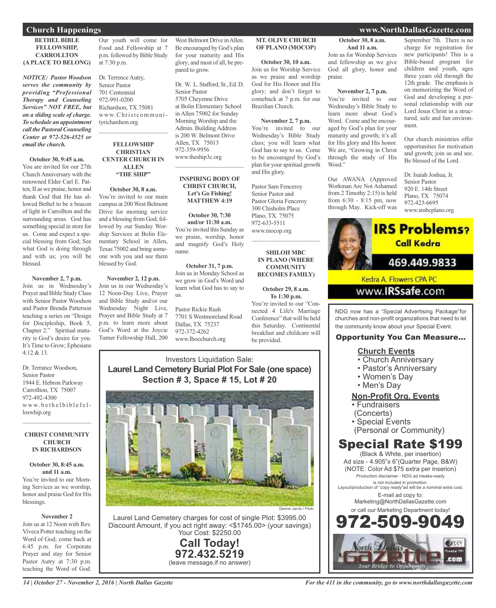#### **BETHEL BIBLE FELLOWSHIP, CARROLLTON (A PLACE TO BELONG)**

*NOTICE: Pastor Woodson serves the community by providing "Professional Therapy and Counseling Services" NOT FREE, but on a sliding scale of charge. To schedule an appointment call the Pastoral Counseling Center at 972-526-4525 or email the church.*

#### **October 30, 9:45 a.m.**

You are invited for our 27th ChurchAnniversary with the renowned Elder Carl E. Patten, II as we praise, honor and thank God that He has allowed Bethel to be a beacon of light in Carrollton and the surrounding areas. God has something special in store for us. Come and expect a special blessing from God; See what God is doing through and with us; you will be blessed.

#### **November 2, 7 p.m.**

Join us in Wednesday's Prayer and Bible Study Class with Senior Pastor Woodson and Pastor Brenda Patterson teaching a series on "Design for Discipleship, Book 5, Chapter 2." Spiritual maturity is God's desire for you. It's Time to Grow; Ephesians 4:12 & 13.

Dr. Terrance Woodson, Senior Pastor 1944 E. Hebron Parkway Carrollton, TX 75007 972-492-4300 www.bethelbiblefelloswhip.org

#### **CHRIST COMMUNITY CHURCH IN RICHARDSON**

 $\overline{\phantom{a}}$  ,  $\overline{\phantom{a}}$  ,  $\overline{\phantom{a}}$  ,  $\overline{\phantom{a}}$  ,  $\overline{\phantom{a}}$  ,  $\overline{\phantom{a}}$  ,  $\overline{\phantom{a}}$  ,  $\overline{\phantom{a}}$  ,  $\overline{\phantom{a}}$  ,  $\overline{\phantom{a}}$  ,  $\overline{\phantom{a}}$  ,  $\overline{\phantom{a}}$  ,  $\overline{\phantom{a}}$  ,  $\overline{\phantom{a}}$  ,  $\overline{\phantom{a}}$  ,  $\overline{\phantom{a}}$ 

#### **October 30, 8:45 a.m. and 11 a.m.** You're invited to our Morning Services as we worship, honor and praise God for His blessings.

#### **November 2**

Join us at 12 Noon with Rev. Viveca Potter teaching on the Word of God; come back at 6:45 p.m. for Corporate Prayer and stay for Senior Pastor Autry at 7:30 p.m. teaching the Word of God.

Our youth will come for Food and Fellowship at 7 p.m. followed by Bible Study at 7:30 p.m.

Dr. Terrence Autry, Senior Pastor 701 Centennial 972-991-0200 Richardson, TX 75081 www.Christcommunityrichardson.org  $\overline{\phantom{a}}$  ,  $\overline{\phantom{a}}$  ,  $\overline{\phantom{a}}$  ,  $\overline{\phantom{a}}$  ,  $\overline{\phantom{a}}$  ,  $\overline{\phantom{a}}$  ,  $\overline{\phantom{a}}$  ,  $\overline{\phantom{a}}$  ,  $\overline{\phantom{a}}$  ,  $\overline{\phantom{a}}$  ,  $\overline{\phantom{a}}$  ,  $\overline{\phantom{a}}$  ,  $\overline{\phantom{a}}$  ,  $\overline{\phantom{a}}$  ,  $\overline{\phantom{a}}$  ,  $\overline{\phantom{a}}$ 

#### **FELLOWSHIP CHRISTIAN CENTER CHURCH IN ALLEN "THE SHIP"**

#### **October 30, 8 a.m.**

You're invited to our main campus at 200West Belmont Drive for morning service and a blessing from God; followed by our Sunday Worship Services at Bolin Elementary School in Allen, Texas 75002 and bring someone with you and see them blessed by God.

**November 2, 12 p.m.** Join us in our Wednesday's 12 Noon-Day Live, Prayer and Bible Study and/or our Wednesday Night Live, Prayer and Bible Study at 7 p.m. to learn more about God's Word at the Joycie Turner Fellowship Hall, 200

West Belmont Drive in Allen. Be encouraged by God's plan for your maturity and His glory; and most of all, be prepared to grow.

Dr. W. L. Stafford, Sr., Ed. D. Senior Pastor 5705 Cheyenne Drive at Bolin Elementary School in Allen 75002 for Sunday Morning Worship and the Admin. Building Address is 200 W. Belmont Drive Allen, TX 75013 972-359-9956 www.theship3c.org \_\_\_\_\_\_\_\_\_\_\_\_\_\_\_\_\_\_\_\_\_\_\_

#### **INSPIRING BODY OF CHRIST CHURCH, Let's Go Fishing! MATTHEW 4:19**

#### **October 30, 7:30 and/or 11:30 a.m.** You're invited this Sunday as we praise, worship, honor and magnify God's Holy name.

**October 31, 7 p.m.** Join us in Monday School as we grow in God's Word and learn what God has to say to us.

Pastor Rickie Rush 7701 S Westmoreland Road Dallas, TX 75237 972-372-4262 www.Ibocchurch.org

**MT. OLIVE CHURCH OF PLANO (MOCOP)**

**October 30, 10 a.m.** Join us for Worship Service as we praise and worship God for His Honor and His glory; and don't forget to comeback at 7 p.m. for our Brazilian Church.

**November 2, 7 p.m.** You're invited to our Wednesday's Bible Study class; you will learn what God has to say to us. Come to be encouraged by God's plan for yourspiritual growth and His glory.

Pastor Sam Fenceroy Senior Pastor and Pastor Gloria Fenceroy 300 Chisholm Place Plano, TX 75075 972-633-5511 www.mocop.org  $\overline{\phantom{a}}$  ,  $\overline{\phantom{a}}$  ,  $\overline{\phantom{a}}$  ,  $\overline{\phantom{a}}$  ,  $\overline{\phantom{a}}$  ,  $\overline{\phantom{a}}$  ,  $\overline{\phantom{a}}$  ,  $\overline{\phantom{a}}$  ,  $\overline{\phantom{a}}$  ,  $\overline{\phantom{a}}$  ,  $\overline{\phantom{a}}$  ,  $\overline{\phantom{a}}$  ,  $\overline{\phantom{a}}$  ,  $\overline{\phantom{a}}$  ,  $\overline{\phantom{a}}$  ,  $\overline{\phantom{a}}$ 

#### **SHILOH MBC IN PLANO (WHERE COMMUNITY BECOMES FAMILY)**

#### **October 29, 8 a.m. To 1:30 p.m.**

You're invited to our "Connected 4 Life's Marriage Conference" that will be held this Saturday. Continental breakfast and childcare will be provided.

### Investors Liquidation Sale: **Laurel Land Cemetery Burial Plot For Sale (one space) Section # 3, Space # 15, Lot # 20**



Laurel Land Cemetery charges for cost of single Plot: \$3995.00 Discount Amount, if you act right away: <\$1745.00> (your savings) Your Cost: \$2250.00

> **Call Today! 972.432.5219** (leave message,if no answer)

### **Church Happenings www.NorthDallasGazette.com**

### **October 30, 8 a.m. And 11 a.m.**

Join us for Worship Services and fellowship as we give God all glory, honor and praise.

#### **November 2, 7 p.m.**

You're invited to our Wednesday's Bible Study to learn more about God's Word. Come and be encouraged by God's plan for your maturity and growth; it's all for His glory and His honor. We are, "Growing in Christ through the study of His Word."

Our AWANA (Approved Workman Are Not Ashamed from 2 Timothy 2:15) is held from 6:30 - 8:15 pm, now through May. Kick-off was

September 7th. There is no charge for registration for new participants! This is a Bible-based program for children and youth, ages three years old through the 12th grade. The emphasis is on memorizing the Word of God and developing a personal relationship with our Lord Jesus Christ in a structured, safe and fun environment.

Our church ministries offer opportunities for motivation and growth; join us and see. Be blessed of the Lord.

Dr. Isaiah Joshua, Jr. Senior Pastor 920 E. 14th Street Plano, TX 75074 972-423-6695 www.smbcplano.org



www.**IRSsafe.com** 

NDG now has a "Special Advertising Package"for churches and non-profit organizations that need to let the community know about your Special Event.

### Opportunity You Can Measure...

### **Church Events**

- Church Anniversary
- Pastor's Anniversary
- Women's Day
- Men's Day

### **Non-Profit Org. Events**

- Fundraisers
- (Concerts)
- Special Events
- (Personal or Community)

### Special Rate \$199

(Black & White, per insertion) Ad size - 4.905"x 6"(Quarter Page, B&W) (NOTE: Color Ad \$75 extra per inserion) Production disclaimer - NDG ad meake-ready is not included in promotion. Layout/production of "copy ready"ad will be a nominal extra cost. E-mail ad copy to: Marketing@NorthDallasGazette.com or call our Marketing Department today! 972-509-9049

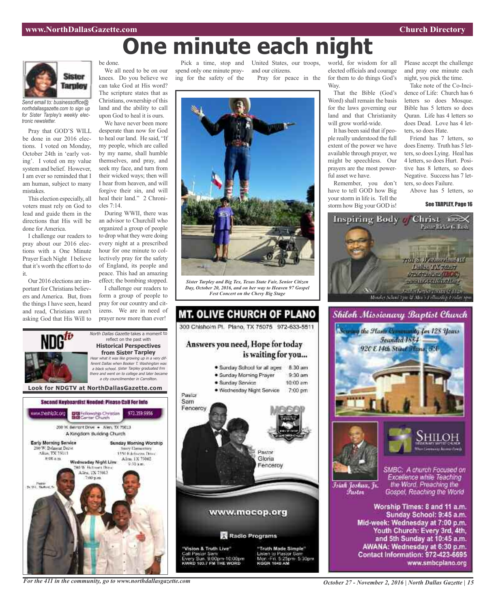# **One minute each night**



*Send email to: businessoffice@ northdallasgazette.com to sign up for Sister Tarpley's weekly electronic newsletter.*

Pray that GOD'S WILL be done in our 2016 elections. I voted on Monday, October 24th in 'early voting'. I voted on my value system and belief. However, I am ever so reminded that I am human, subject to many mistakes.

This election especially, all voters must rely on God to lead and guide them in the directions that His will be done for America.

I challenge our readers to pray about our 2016 elections with a One Minute Prayer Each Night I believe that it's worth the effort to do it.

Our 2016 elections are important for Christians believers and America. But, from the things I have seen, heard and read, Christians aren't asking God that His Will to

ww.theshlp3c.org

Early Morning Service

00 W. Belmont Drive

Alice TX 75013

**图 00 点 图** 

be done.

We all need to be on our knees. Do you believe we can take God at His word? The scripture states that as Christians, ownership of this land and the ability to call upon God to heal it is ours.

We have never been more desperate than now for God to heal our land. He said, "If my people, which are called by my name, shall humble themselves, and pray, and seek my face, and turn from their wicked ways; then will I hear from heaven, and will forgive their sin, and will heal their land." 2 Chronicles 7:14.

During WWII, there was an advisor to Churchill who organized a group of people to drop what they were doing every night at a prescribed hour for one minute to collectively pray for the safety of England, its people and peace. This had an amazing effect; the bombing stopped.

I challenge our readers to form a group of people to pray for our country and citizens. We are in need of prayer now more than ever!

reflect on the past with **Historical Perspectives from Sister Tarpley**

<sup>a</sup> city councilmember in Carrollton.

972.359.9956

Sunday Morning Worship

**Nexty Elementary** 

1450 Ethnologies Drug-

Allen, 1X 75002

**Look for NDGTV at NorthDallasGazette.com**

Second Keyboardist Needed: Please CaB For Info

DE Fellowship Christian<br>BIB Center Church

200 W. Bernsht Drive . - Allen, TX 75013 A Kingdom Building Church

Wadnasday Night Live

**DO W. Retroem Days** 

Allen, TX 75013

Pick a time, stop and spend only one minute praying for the safety of the

United States, our troops, and our citizens. Pray for peace in the



*Sister Tarpley and Big Tex, Texas State Fair, Senior Citizen Day, October 20, 2016, and on her way to Heaven 97 Gospel Fest Concert on the Chevy Big Stage*



world, for wisdom for all elected officials and courage for them to do things God's Way.

That the Bible (God's Word) shall remain the basis for the laws governing our land and that Christianity will grow world-wide.

It has been said that if people really understood the full extent of the power we have available through prayer, we might be speechless. Our prayers are the most powerful asset we have.

Remember, you don't have to tell GOD how Big your storm in life is. Tell the storm how Big your GOD is!

Please accept the challenge and pray one minute each night, you pick the time.

Take note of the Co-Incidence of Life: Church has 6 letters so does Mosque. Bible has 5 letters so does Quran. Life has 4 letters so does Dead. Love has 4 letters, so does Hate.

Friend has 7 letters, so does Enemy. Truth has 5 letters, so does Lying. Heal has 4 letters, so does Hurt. Positive has 8 letters, so does Negative. Success has 7 letters, so does Failure.

Above has 5 letters, so

#### See TARPLEY, Page 16







Islah Joshua, Jr. *Tustov* 

SMBC: A church Focused on Excellence while Teaching the Word. Preaching the Gospel, Reaching the World

Worship Times: 8 and 11 a.m. Sunday School: 9:45 a.m. Mid-week: Wednesday at 7:00 p.m. Youth Church: Every 3rd, 4th, and 5th Sunday at 10:45 a.m. AWANA: Wednesday at 6:30 p.m. Contact Information: 972-423-6695 www.smbcplano.org

*For the 411 in the community, go to www.northdallasgazette.com*